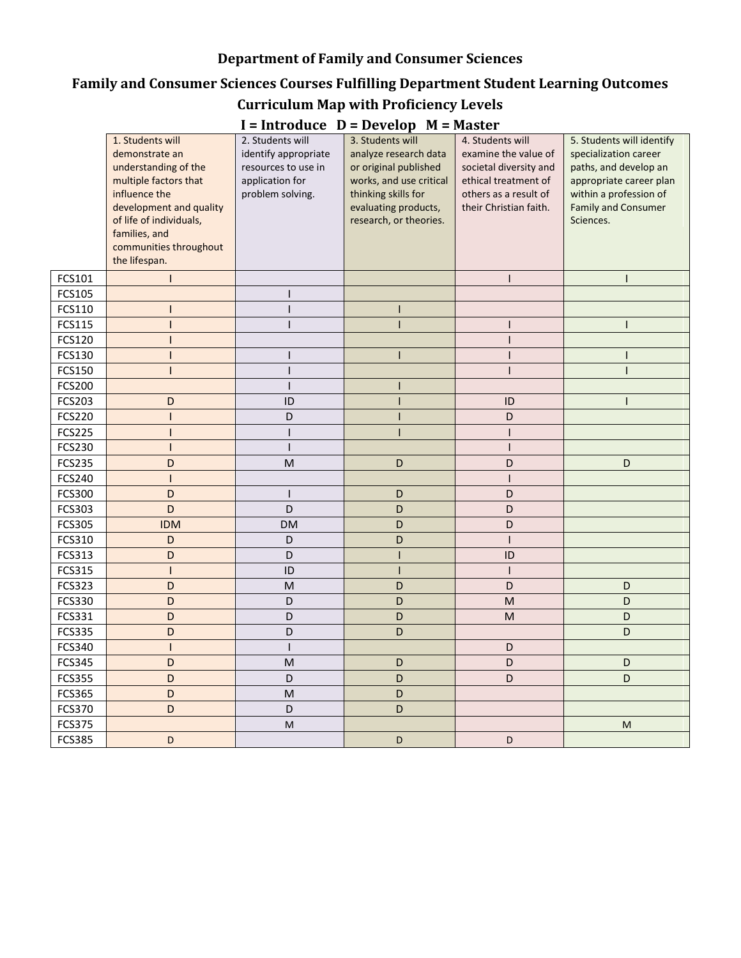### **Department of Family and Consumer Sciences**

# **Family and Consumer Sciences Courses Fulfilling Department Student Learning Outcomes**

#### **Curriculum Map with Proficiency Levels**

| $I$ – Introduce $D$ – Develop $M$ – Master |                                                                                                                                                                                                                        |                                                                                                        |                                                                                                                                                                        |                                                                                                                                               |                                                                                                                                                                             |  |  |  |  |
|--------------------------------------------|------------------------------------------------------------------------------------------------------------------------------------------------------------------------------------------------------------------------|--------------------------------------------------------------------------------------------------------|------------------------------------------------------------------------------------------------------------------------------------------------------------------------|-----------------------------------------------------------------------------------------------------------------------------------------------|-----------------------------------------------------------------------------------------------------------------------------------------------------------------------------|--|--|--|--|
|                                            | 1. Students will<br>demonstrate an<br>understanding of the<br>multiple factors that<br>influence the<br>development and quality<br>of life of individuals,<br>families, and<br>communities throughout<br>the lifespan. | 2. Students will<br>identify appropriate<br>resources to use in<br>application for<br>problem solving. | 3. Students will<br>analyze research data<br>or original published<br>works, and use critical<br>thinking skills for<br>evaluating products,<br>research, or theories. | 4. Students will<br>examine the value of<br>societal diversity and<br>ethical treatment of<br>others as a result of<br>their Christian faith. | 5. Students will identify<br>specialization career<br>paths, and develop an<br>appropriate career plan<br>within a profession of<br><b>Family and Consumer</b><br>Sciences. |  |  |  |  |
| FCS101                                     |                                                                                                                                                                                                                        |                                                                                                        |                                                                                                                                                                        | $\mathsf{I}$                                                                                                                                  | L                                                                                                                                                                           |  |  |  |  |
| FCS105                                     |                                                                                                                                                                                                                        |                                                                                                        |                                                                                                                                                                        |                                                                                                                                               |                                                                                                                                                                             |  |  |  |  |
| FCS110                                     |                                                                                                                                                                                                                        |                                                                                                        |                                                                                                                                                                        |                                                                                                                                               |                                                                                                                                                                             |  |  |  |  |
| FCS115                                     | 1                                                                                                                                                                                                                      |                                                                                                        | ı                                                                                                                                                                      | I                                                                                                                                             |                                                                                                                                                                             |  |  |  |  |
| FCS120                                     |                                                                                                                                                                                                                        |                                                                                                        |                                                                                                                                                                        |                                                                                                                                               |                                                                                                                                                                             |  |  |  |  |
| FCS130                                     | I                                                                                                                                                                                                                      |                                                                                                        |                                                                                                                                                                        |                                                                                                                                               |                                                                                                                                                                             |  |  |  |  |
| FCS150                                     |                                                                                                                                                                                                                        |                                                                                                        |                                                                                                                                                                        |                                                                                                                                               |                                                                                                                                                                             |  |  |  |  |
| <b>FCS200</b>                              |                                                                                                                                                                                                                        |                                                                                                        |                                                                                                                                                                        |                                                                                                                                               |                                                                                                                                                                             |  |  |  |  |
| FCS203                                     | D                                                                                                                                                                                                                      | ID                                                                                                     |                                                                                                                                                                        | ID                                                                                                                                            |                                                                                                                                                                             |  |  |  |  |
| <b>FCS220</b>                              |                                                                                                                                                                                                                        | D                                                                                                      |                                                                                                                                                                        | D                                                                                                                                             |                                                                                                                                                                             |  |  |  |  |
| <b>FCS225</b>                              |                                                                                                                                                                                                                        |                                                                                                        |                                                                                                                                                                        |                                                                                                                                               |                                                                                                                                                                             |  |  |  |  |
| FCS230                                     |                                                                                                                                                                                                                        |                                                                                                        |                                                                                                                                                                        |                                                                                                                                               |                                                                                                                                                                             |  |  |  |  |
| <b>FCS235</b>                              | D                                                                                                                                                                                                                      | M                                                                                                      | D                                                                                                                                                                      | D                                                                                                                                             | D                                                                                                                                                                           |  |  |  |  |
| FCS240                                     |                                                                                                                                                                                                                        |                                                                                                        |                                                                                                                                                                        |                                                                                                                                               |                                                                                                                                                                             |  |  |  |  |
| FCS300                                     | D                                                                                                                                                                                                                      |                                                                                                        | D                                                                                                                                                                      | D                                                                                                                                             |                                                                                                                                                                             |  |  |  |  |
| FCS303                                     | D                                                                                                                                                                                                                      | D                                                                                                      | D                                                                                                                                                                      | D                                                                                                                                             |                                                                                                                                                                             |  |  |  |  |
| FCS305                                     | <b>IDM</b>                                                                                                                                                                                                             | <b>DM</b>                                                                                              | D                                                                                                                                                                      | D                                                                                                                                             |                                                                                                                                                                             |  |  |  |  |
| FCS310                                     | D                                                                                                                                                                                                                      | D                                                                                                      | D                                                                                                                                                                      |                                                                                                                                               |                                                                                                                                                                             |  |  |  |  |
| FCS313                                     | D                                                                                                                                                                                                                      | D                                                                                                      |                                                                                                                                                                        | ID                                                                                                                                            |                                                                                                                                                                             |  |  |  |  |
| FCS315                                     |                                                                                                                                                                                                                        | ID                                                                                                     |                                                                                                                                                                        |                                                                                                                                               |                                                                                                                                                                             |  |  |  |  |
| FCS323                                     | D                                                                                                                                                                                                                      | M                                                                                                      | D                                                                                                                                                                      | D                                                                                                                                             | D                                                                                                                                                                           |  |  |  |  |
| FCS330                                     | D                                                                                                                                                                                                                      | D                                                                                                      | D                                                                                                                                                                      | $\mathsf{M}% _{T}=\mathsf{M}_{T}\!\left( a,b\right) ,\ \mathsf{M}_{T}=\mathsf{M}_{T}\!\left( a,b\right) ,$                                    | D                                                                                                                                                                           |  |  |  |  |
| FCS331                                     | D                                                                                                                                                                                                                      | D                                                                                                      | D                                                                                                                                                                      | M                                                                                                                                             | D                                                                                                                                                                           |  |  |  |  |
| FCS335                                     | D                                                                                                                                                                                                                      | D                                                                                                      | D                                                                                                                                                                      |                                                                                                                                               | D                                                                                                                                                                           |  |  |  |  |
| FCS340                                     |                                                                                                                                                                                                                        |                                                                                                        |                                                                                                                                                                        | D                                                                                                                                             |                                                                                                                                                                             |  |  |  |  |
| <b>FCS345</b>                              | D                                                                                                                                                                                                                      | M                                                                                                      | D                                                                                                                                                                      | D                                                                                                                                             | D                                                                                                                                                                           |  |  |  |  |
| <b>FCS355</b>                              | D                                                                                                                                                                                                                      | D                                                                                                      | D                                                                                                                                                                      | D                                                                                                                                             | D                                                                                                                                                                           |  |  |  |  |
| <b>FCS365</b>                              | D                                                                                                                                                                                                                      | M                                                                                                      | D                                                                                                                                                                      |                                                                                                                                               |                                                                                                                                                                             |  |  |  |  |
| FCS370                                     | D                                                                                                                                                                                                                      | D                                                                                                      | D                                                                                                                                                                      |                                                                                                                                               |                                                                                                                                                                             |  |  |  |  |
| <b>FCS375</b>                              |                                                                                                                                                                                                                        | M                                                                                                      |                                                                                                                                                                        |                                                                                                                                               | M                                                                                                                                                                           |  |  |  |  |
| <b>FCS385</b>                              | D                                                                                                                                                                                                                      |                                                                                                        | D                                                                                                                                                                      | D                                                                                                                                             |                                                                                                                                                                             |  |  |  |  |

## **I = Introduce D = Develop M = Master**